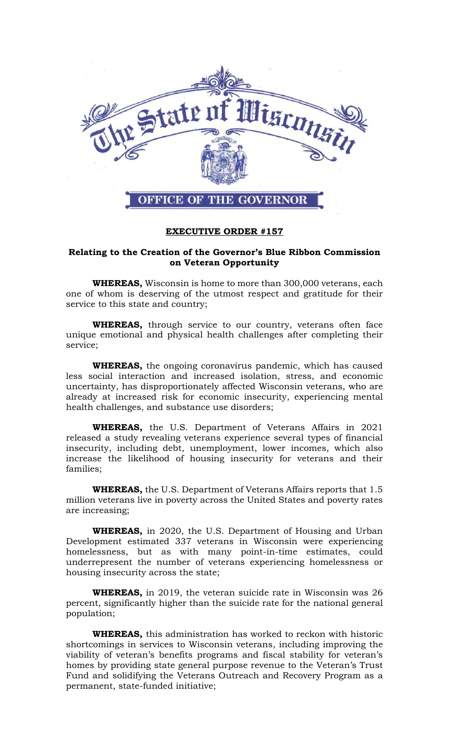

## **EXECUTIVE ORDER #157**

## **Relating to the Creation of the Governor's Blue Ribbon Commission on Veteran Opportunity**

**WHEREAS,** Wisconsin is home to more than 300,000 veterans, each one of whom is deserving of the utmost respect and gratitude for their service to this state and country;

**WHEREAS,** through service to our country, veterans often face unique emotional and physical health challenges after completing their service;

**WHEREAS,** the ongoing coronavirus pandemic, which has caused less social interaction and increased isolation, stress, and economic uncertainty, has disproportionately affected Wisconsin veterans, who are already at increased risk for economic insecurity, experiencing mental health challenges, and substance use disorders;

**WHEREAS,** the U.S. Department of Veterans Affairs in 2021 released a study revealing veterans experience several types of financial insecurity, including debt, unemployment, lower incomes, which also increase the likelihood of housing insecurity for veterans and their families;

**WHEREAS,** the U.S. Department of Veterans Affairs reports that 1.5 million veterans live in poverty across the United States and poverty rates are increasing;

**WHEREAS,** in 2020, the U.S. Department of Housing and Urban Development estimated 337 veterans in Wisconsin were experiencing homelessness, but as with many point-in-time estimates, could underrepresent the number of veterans experiencing homelessness or housing insecurity across the state;

**WHEREAS,** in 2019, the veteran suicide rate in Wisconsin was 26 percent, significantly higher than the suicide rate for the national general population;

**WHEREAS,** this administration has worked to reckon with historic shortcomings in services to Wisconsin veterans, including improving the viability of veteran's benefits programs and fiscal stability for veteran's homes by providing state general purpose revenue to the Veteran's Trust Fund and solidifying the Veterans Outreach and Recovery Program as a permanent, state-funded initiative;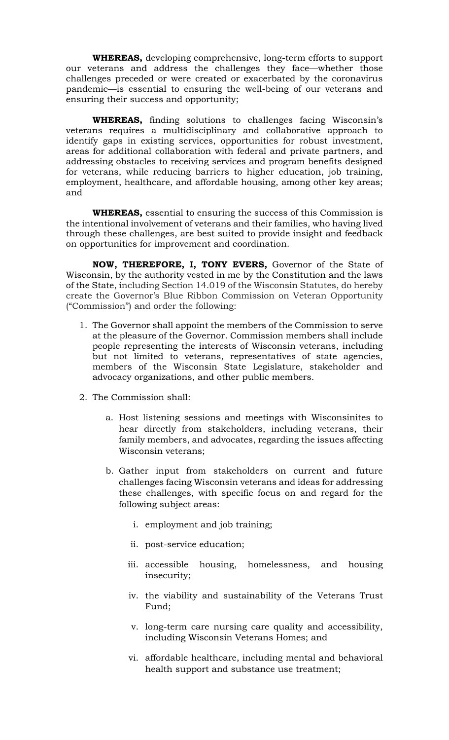**WHEREAS,** developing comprehensive, long-term efforts to support our veterans and address the challenges they face—whether those challenges preceded or were created or exacerbated by the coronavirus pandemic—is essential to ensuring the well-being of our veterans and ensuring their success and opportunity;

**WHEREAS,** finding solutions to challenges facing Wisconsin's veterans requires a multidisciplinary and collaborative approach to identify gaps in existing services, opportunities for robust investment, areas for additional collaboration with federal and private partners, and addressing obstacles to receiving services and program benefits designed for veterans, while reducing barriers to higher education, job training, employment, healthcare, and affordable housing, among other key areas; and

**WHEREAS,** essential to ensuring the success of this Commission is the intentional involvement of veterans and their families, who having lived through these challenges, are best suited to provide insight and feedback on opportunities for improvement and coordination.

**NOW, THEREFORE, I, TONY EVERS,** Governor of the State of Wisconsin, by the authority vested in me by the Constitution and the laws of the State, including Section 14.019 of the Wisconsin Statutes, do hereby create the Governor's Blue Ribbon Commission on Veteran Opportunity ("Commission") and order the following:

- 1. The Governor shall appoint the members of the Commission to serve at the pleasure of the Governor. Commission members shall include people representing the interests of Wisconsin veterans, including but not limited to veterans, representatives of state agencies, members of the Wisconsin State Legislature, stakeholder and advocacy organizations, and other public members.
- 2. The Commission shall:
	- a. Host listening sessions and meetings with Wisconsinites to hear directly from stakeholders, including veterans, their family members, and advocates, regarding the issues affecting Wisconsin veterans;
	- b. Gather input from stakeholders on current and future challenges facing Wisconsin veterans and ideas for addressing these challenges, with specific focus on and regard for the following subject areas:
		- i. employment and job training;
		- ii. post-service education;
		- iii. accessible housing, homelessness, and housing insecurity;
		- iv. the viability and sustainability of the Veterans Trust Fund;
		- v. long-term care nursing care quality and accessibility, including Wisconsin Veterans Homes; and
		- vi. affordable healthcare, including mental and behavioral health support and substance use treatment;